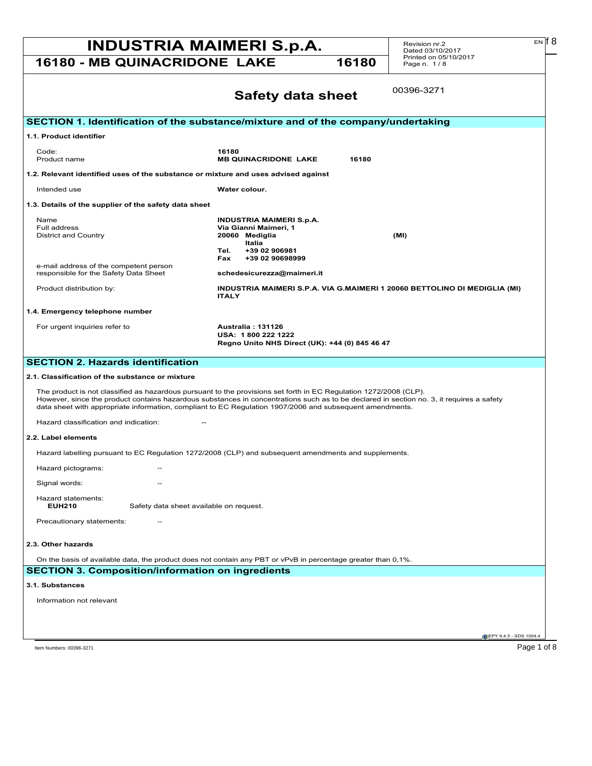## **INDUSTRIA MAIMERI S.p.A.** Revision nr.2 EN [8]

**16180 - MB QUINACRIDONE LAKE 16180** 

Revision nr.2 Dated 03/10/2017 Printed on 05/10/2017 Page n. 1 / 8

|                                                                                                                                                                                                                                                                                                                                                                           | 00396-3271<br><b>Safety data sheet</b>                                                                                                          |  |  |
|---------------------------------------------------------------------------------------------------------------------------------------------------------------------------------------------------------------------------------------------------------------------------------------------------------------------------------------------------------------------------|-------------------------------------------------------------------------------------------------------------------------------------------------|--|--|
| SECTION 1. Identification of the substance/mixture and of the company/undertaking                                                                                                                                                                                                                                                                                         |                                                                                                                                                 |  |  |
| 1.1. Product identifier                                                                                                                                                                                                                                                                                                                                                   |                                                                                                                                                 |  |  |
| Code:<br>Product name                                                                                                                                                                                                                                                                                                                                                     | 16180<br><b>MB QUINACRIDONE LAKE</b><br>16180                                                                                                   |  |  |
| 1.2. Relevant identified uses of the substance or mixture and uses advised against                                                                                                                                                                                                                                                                                        |                                                                                                                                                 |  |  |
| Intended use                                                                                                                                                                                                                                                                                                                                                              | Water colour.                                                                                                                                   |  |  |
| 1.3. Details of the supplier of the safety data sheet                                                                                                                                                                                                                                                                                                                     |                                                                                                                                                 |  |  |
| Name<br>Full address<br><b>District and Country</b>                                                                                                                                                                                                                                                                                                                       | <b>INDUSTRIA MAIMERI S.p.A.</b><br>Via Gianni Maimeri, 1<br>20060 Mediglia<br>(MI)<br>Italia<br>Tel.<br>+39 02 906981<br>Fax<br>+39 02 90698999 |  |  |
| e-mail address of the competent person<br>responsible for the Safety Data Sheet                                                                                                                                                                                                                                                                                           | schedesicurezza@maimeri.it                                                                                                                      |  |  |
| Product distribution by:                                                                                                                                                                                                                                                                                                                                                  | INDUSTRIA MAIMERI S.P.A. VIA G.MAIMERI 1 20060 BETTOLINO DI MEDIGLIA (MI)<br><b>ITALY</b>                                                       |  |  |
| 1.4. Emergency telephone number                                                                                                                                                                                                                                                                                                                                           |                                                                                                                                                 |  |  |
| For urgent inquiries refer to                                                                                                                                                                                                                                                                                                                                             | Australia: 131126<br>USA: 1800 222 1222<br>Regno Unito NHS Direct (UK): +44 (0) 845 46 47                                                       |  |  |
| <b>SECTION 2. Hazards identification</b>                                                                                                                                                                                                                                                                                                                                  |                                                                                                                                                 |  |  |
| 2.1. Classification of the substance or mixture                                                                                                                                                                                                                                                                                                                           |                                                                                                                                                 |  |  |
| The product is not classified as hazardous pursuant to the provisions set forth in EC Regulation 1272/2008 (CLP).<br>However, since the product contains hazardous substances in concentrations such as to be declared in section no. 3, it requires a safety<br>data sheet with appropriate information, compliant to EC Regulation 1907/2006 and subsequent amendments. |                                                                                                                                                 |  |  |
| Hazard classification and indication:                                                                                                                                                                                                                                                                                                                                     |                                                                                                                                                 |  |  |
| 2.2. Label elements                                                                                                                                                                                                                                                                                                                                                       |                                                                                                                                                 |  |  |
| Hazard labelling pursuant to EC Regulation 1272/2008 (CLP) and subsequent amendments and supplements.                                                                                                                                                                                                                                                                     |                                                                                                                                                 |  |  |
| Hazard pictograms:                                                                                                                                                                                                                                                                                                                                                        |                                                                                                                                                 |  |  |
| Signal words:                                                                                                                                                                                                                                                                                                                                                             |                                                                                                                                                 |  |  |
| Hazard statements:<br><b>EUH210</b><br>Safety data sheet available on request.                                                                                                                                                                                                                                                                                            |                                                                                                                                                 |  |  |
| Precautionary statements:                                                                                                                                                                                                                                                                                                                                                 |                                                                                                                                                 |  |  |
| 2.3. Other hazards                                                                                                                                                                                                                                                                                                                                                        |                                                                                                                                                 |  |  |
| On the basis of available data, the product does not contain any PBT or vPvB in percentage greater than 0,1%.                                                                                                                                                                                                                                                             |                                                                                                                                                 |  |  |
| <b>SECTION 3. Composition/information on ingredients</b>                                                                                                                                                                                                                                                                                                                  |                                                                                                                                                 |  |  |
| 3.1. Substances                                                                                                                                                                                                                                                                                                                                                           |                                                                                                                                                 |  |  |
| Information not relevant                                                                                                                                                                                                                                                                                                                                                  |                                                                                                                                                 |  |  |
|                                                                                                                                                                                                                                                                                                                                                                           |                                                                                                                                                 |  |  |
|                                                                                                                                                                                                                                                                                                                                                                           | EPY 9.4.5 - SDS 1004.4                                                                                                                          |  |  |

 $E N$   $6$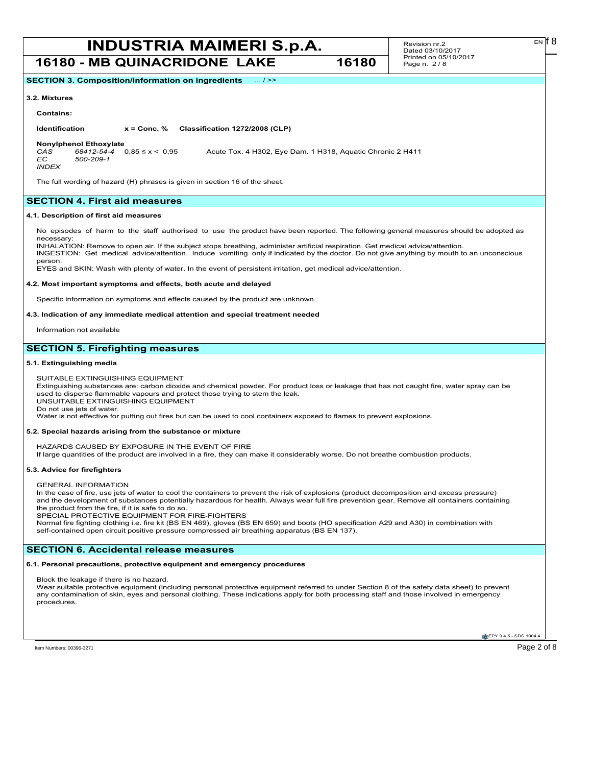Revision nr.2 Dated 03/10/2017 Printed on 05/10/2017 Page n. 2 / 8

**SECTION 3. Composition/information on ingredients** ... / >>

#### **3.2. Mixtures**

#### **Contains:**

**Identification x = Conc. % Classification 1272/2008 (CLP)**

**Nonylphenol Ethoxylate**<br>CAS 68412-54-4 0.85 ≤ x < 0.95 *CAS 68412-54-4* 0,85 ≤ x < 0,95 Acute Tox. 4 H302, Eye Dam. 1 H318, Aquatic Chronic 2 H411 *EC 500-209-1*

*INDEX*

person.

The full wording of hazard (H) phrases is given in section 16 of the sheet.

#### **SECTION 4. First aid measures**

#### **4.1. Description of first aid measures**

No episodes of harm to the staff authorised to use the product have been reported. The following general measures should be adopted as necessary:

INHALATION: Remove to open air. If the subject stops breathing, administer artificial respiration. Get medical advice/attention. INGESTION: Get medical advice/attention. Induce vomiting only if indicated by the doctor. Do not give anything by mouth to an unconscious

EYES and SKIN: Wash with plenty of water. In the event of persistent irritation, get medical advice/attention.

#### **4.2. Most important symptoms and effects, both acute and delayed**

Specific information on symptoms and effects caused by the product are unknown.

#### **4.3. Indication of any immediate medical attention and special treatment needed**

Information not available

#### **SECTION 5. Firefighting measures**

#### **5.1. Extinguishing media**

SUITABLE EXTINGUISHING EQUIPMENT

Extinguishing substances are: carbon dioxide and chemical powder. For product loss or leakage that has not caught fire, water spray can be used to disperse flammable vapours and protect those trying to stem the leak. UNSUITABLE EXTINGUISHING EQUIPMENT

Do not use jets of water.

Water is not effective for putting out fires but can be used to cool containers exposed to flames to prevent explosions.

#### **5.2. Special hazards arising from the substance or mixture**

HAZARDS CAUSED BY EXPOSURE IN THE EVENT OF FIRE

If large quantities of the product are involved in a fire, they can make it considerably worse. Do not breathe combustion products.

#### **5.3. Advice for firefighters**

GENERAL INFORMATION

In the case of fire, use jets of water to cool the containers to prevent the risk of explosions (product decomposition and excess pressure) and the development of substances potentially hazardous for health. Always wear full fire prevention gear. Remove all containers containing the product from the fire, if it is safe to do so.

SPECIAL PROTECTIVE EQUIPMENT FOR FIRE-FIGHTERS

Normal fire fighting clothing i.e. fire kit (BS EN 469), gloves (BS EN 659) and boots (HO specification A29 and A30) in combination with self-contained open circuit positive pressure compressed air breathing apparatus (BS EN 137).

#### **SECTION 6. Accidental release measures**

#### **6.1. Personal precautions, protective equipment and emergency procedures**

Block the leakage if there is no hazard.

Wear suitable protective equipment (including personal protective equipment referred to under Section 8 of the safety data sheet) to prevent any contamination of skin, eyes and personal clothing. These indications apply for both processing staff and those involved in emergency procedures.

**EPY 9.4.5 - SDS 1004**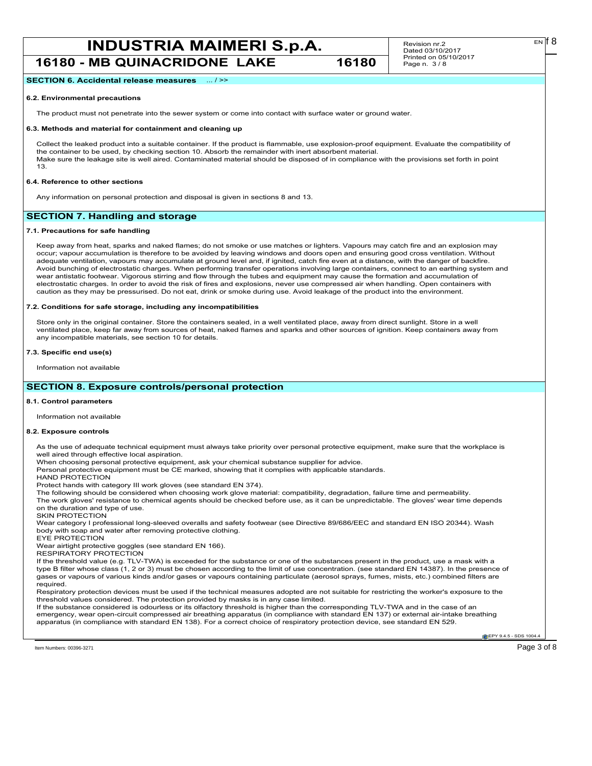Revision nr.2 Dated 03/10/2017 Printed on 05/10/2017 Page n. 3 / 8

**SECTION 6. Accidental release measures** ... / >>

#### **6.2. Environmental precautions**

The product must not penetrate into the sewer system or come into contact with surface water or ground water.

#### **6.3. Methods and material for containment and cleaning up**

Collect the leaked product into a suitable container. If the product is flammable, use explosion-proof equipment. Evaluate the compatibility of the container to be used, by checking section 10. Absorb the remainder with inert absorbent material. Make sure the leakage site is well aired. Contaminated material should be disposed of in compliance with the provisions set forth in point 13.

#### **6.4. Reference to other sections**

Any information on personal protection and disposal is given in sections 8 and 13.

#### **SECTION 7. Handling and storage**

#### **7.1. Precautions for safe handling**

Keep away from heat, sparks and naked flames; do not smoke or use matches or lighters. Vapours may catch fire and an explosion may occur; vapour accumulation is therefore to be avoided by leaving windows and doors open and ensuring good cross ventilation. Without adequate ventilation, vapours may accumulate at ground level and, if ignited, catch fire even at a distance, with the danger of backfire. Avoid bunching of electrostatic charges. When performing transfer operations involving large containers, connect to an earthing system and wear antistatic footwear. Vigorous stirring and flow through the tubes and equipment may cause the formation and accumulation of electrostatic charges. In order to avoid the risk of fires and explosions, never use compressed air when handling. Open containers with caution as they may be pressurised. Do not eat, drink or smoke during use. Avoid leakage of the product into the environment.

#### **7.2. Conditions for safe storage, including any incompatibilities**

Store only in the original container. Store the containers sealed, in a well ventilated place, away from direct sunlight. Store in a well ventilated place, keep far away from sources of heat, naked flames and sparks and other sources of ignition. Keep containers away from any incompatible materials, see section 10 for details.

#### **7.3. Specific end use(s)**

Information not available

#### **SECTION 8. Exposure controls/personal protection**

#### **8.1. Control parameters**

Information not available

#### **8.2. Exposure controls**

As the use of adequate technical equipment must always take priority over personal protective equipment, make sure that the workplace is well aired through effective local aspiration.

When choosing personal protective equipment, ask your chemical substance supplier for advice.

Personal protective equipment must be CE marked, showing that it complies with applicable standards.

HAND PROTECTION

Protect hands with category III work gloves (see standard EN 374).

The following should be considered when choosing work glove material: compatibility, degradation, failure time and permeability.

The work gloves' resistance to chemical agents should be checked before use, as it can be unpredictable. The gloves' wear time depends on the duration and type of use.

SKIN PROTECTION

Wear category I professional long-sleeved overalls and safety footwear (see Directive 89/686/EEC and standard EN ISO 20344). Wash body with soap and water after removing protective clothing. EYE PROTECTION

Wear airtight protective goggles (see standard EN 166).

RESPIRATORY PROTECTION

If the threshold value (e.g. TLV-TWA) is exceeded for the substance or one of the substances present in the product, use a mask with a type B filter whose class (1, 2 or 3) must be chosen according to the limit of use concentration. (see standard EN 14387). In the presence of gases or vapours of various kinds and/or gases or vapours containing particulate (aerosol sprays, fumes, mists, etc.) combined filters are required.

Respiratory protection devices must be used if the technical measures adopted are not suitable for restricting the worker's exposure to the threshold values considered. The protection provided by masks is in any case limited.

If the substance considered is odourless or its olfactory threshold is higher than the corresponding TLV-TWA and in the case of an emergency, wear open-circuit compressed air breathing apparatus (in compliance with standard EN 137) or external air-intake breathing apparatus (in compliance with standard EN 138). For a correct choice of respiratory protection device, see standard EN 529.

**EPY 9.4.5 - SDS 1004**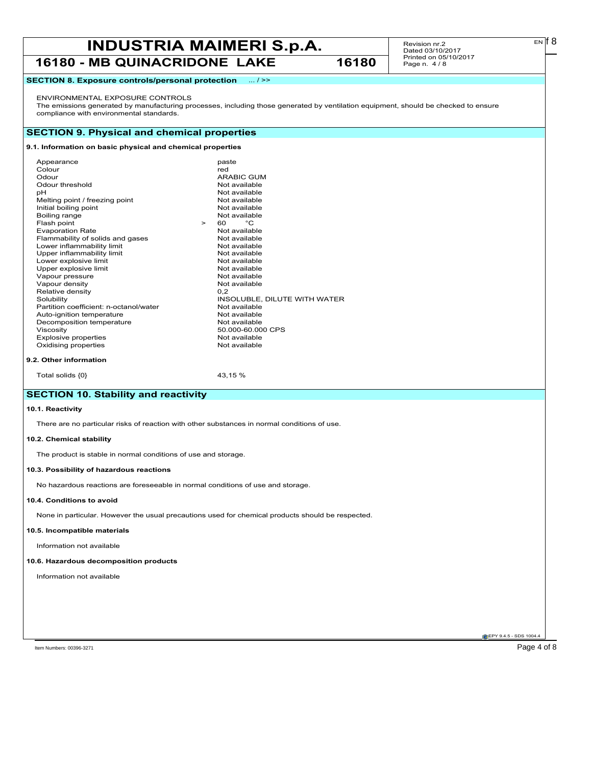Revision nr.2 Dated 03/10/2017 Printed on 05/10/2017 Page n. 4 / 8

#### **SECTION 8. Exposure controls/personal protection** ... / >>

#### ENVIRONMENTAL EXPOSURE CONTROLS

The emissions generated by manufacturing processes, including those generated by ventilation equipment, should be checked to ensure compliance with environmental standards.

#### **SECTION 9. Physical and chemical properties**

#### **9.1. Information on basic physical and chemical properties**

| Appearance                             |        | paste                        |
|----------------------------------------|--------|------------------------------|
| Colour                                 |        | red                          |
| Odour                                  |        | <b>ARABIC GUM</b>            |
| Odour threshold                        |        | Not available                |
| рH                                     |        | Not available                |
| Melting point / freezing point         |        | Not available                |
| Initial boiling point                  |        | Not available                |
| Boiling range                          |        | Not available                |
| Flash point                            | $\geq$ | °C<br>60.                    |
| <b>Evaporation Rate</b>                |        | Not available                |
| Flammability of solids and gases       |        | Not available                |
| Lower inflammability limit             |        | Not available                |
| Upper inflammability limit             |        | Not available                |
| Lower explosive limit                  |        | Not available                |
| Upper explosive limit                  |        | Not available                |
| Vapour pressure                        |        | Not available                |
| Vapour density                         |        | Not available                |
| Relative density                       |        | 0.2                          |
| Solubility                             |        | INSOLUBLE, DILUTE WITH WATER |
| Partition coefficient: n-octanol/water |        | Not available                |
| Auto-ignition temperature              |        | Not available                |
| Decomposition temperature              |        | Not available                |
| Viscosity                              |        | 50.000-60.000 CPS            |
| <b>Explosive properties</b>            |        | Not available                |
| Oxidising properties                   |        | Not available                |
|                                        |        |                              |
| 9.2. Other information                 |        |                              |

#### Total solids  $\{0\}$  43,15 %

### **SECTION 10. Stability and reactivity**

#### **10.1. Reactivity**

There are no particular risks of reaction with other substances in normal conditions of use.

#### **10.2. Chemical stability**

The product is stable in normal conditions of use and storage.

#### **10.3. Possibility of hazardous reactions**

No hazardous reactions are foreseeable in normal conditions of use and storage.

#### **10.4. Conditions to avoid**

None in particular. However the usual precautions used for chemical products should be respected.

#### **10.5. Incompatible materials**

Information not available

#### **10.6. Hazardous decomposition products**

Information not available

**EPY 9.4.5 - SDS 1004** 

 $E<sub>N</sub>$  18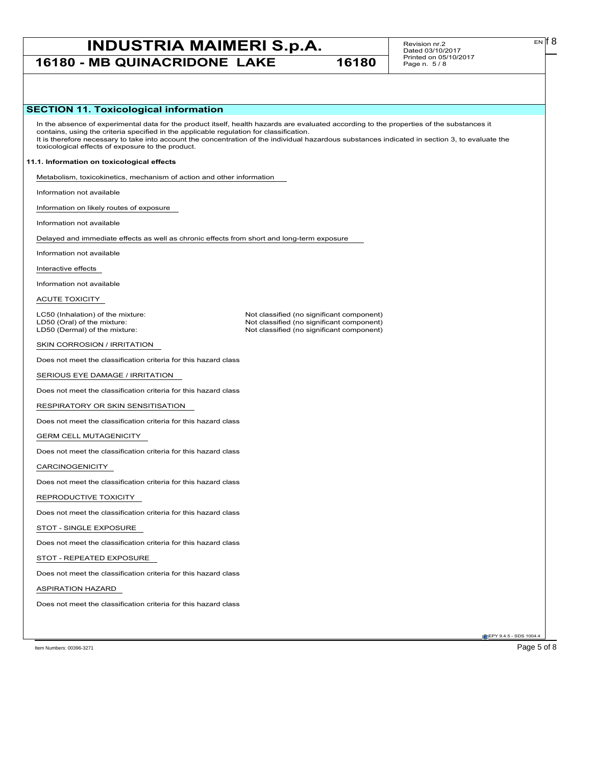# **INDUSTRIA MAIMERI S.p.A.** Revision nr.2 EN [8]

**16180 - MB QUINACRIDONE LAKE 16180**

Revision nr.2 Dated 03/10/2017 Printed on 05/10/2017 Page n. 5 / 8

#### **SECTION 11. Toxicological information**

In the absence of experimental data for the product itself, health hazards are evaluated according to the properties of the substances it contains, using the criteria specified in the applicable regulation for classification. It is therefore necessary to take into account the concentration of the individual hazardous substances indicated in section 3, to evaluate the toxicological effects of exposure to the product.

Not classified (no significant component)

#### **11.1. Information on toxicological effects**

Metabolism, toxicokinetics, mechanism of action and other information

Information not available

Information on likely routes of exposure

Information not available

Delayed and immediate effects as well as chronic effects from short and long-term exposure

Information not available

Interactive effects

Information not available

ACUTE TOXICITY

LC50 (Inhalation) of the mixture: Not classified (no significant component)<br>
LD50 (Oral) of the mixture: Not classified (no significant component) LD50 (Oral) of the mixture:  $\Box$ <br>
LD50 (Dermal) of the mixture: Not classified (no significant component)

SKIN CORROSION / IRRITATION

Does not meet the classification criteria for this hazard class

SERIOUS EYE DAMAGE / IRRITATION

Does not meet the classification criteria for this hazard class

RESPIRATORY OR SKIN SENSITISATION

Does not meet the classification criteria for this hazard class

GERM CELL MUTAGENICITY

Does not meet the classification criteria for this hazard class

CARCINOGENICITY

Does not meet the classification criteria for this hazard class

REPRODUCTIVE TOXICITY

Does not meet the classification criteria for this hazard class

STOT - SINGLE EXPOSURE

Does not meet the classification criteria for this hazard class

STOT - REPEATED EXPOSURE

Does not meet the classification criteria for this hazard class

ASPIRATION HAZARD

Does not meet the classification criteria for this hazard class

Item Numbers: 00396-3271 Page 5 of 8

**EPY 9.4.5 - SDS 1004.**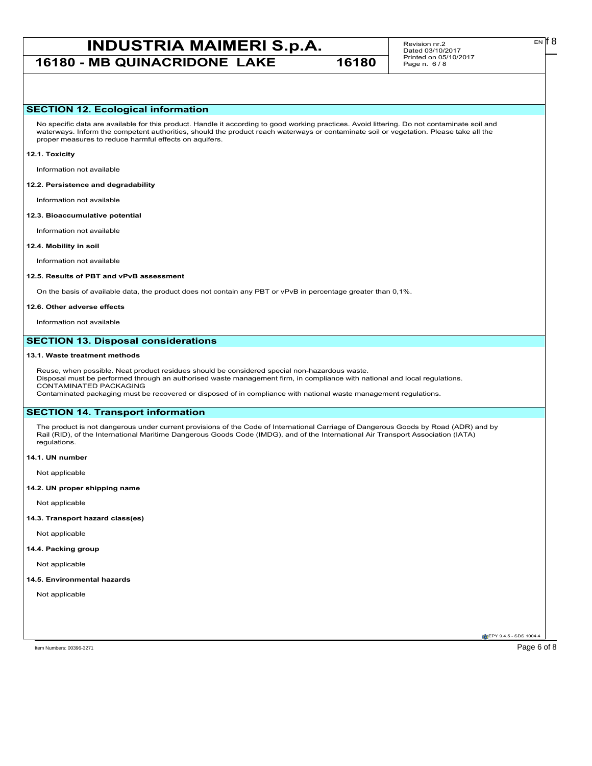# **INDUSTRIA MAIMERI S.p.A.** Revision nr.2 EN [8]

**16180 - MB QUINACRIDONE LAKE 16180**

Revision nr.2 Dated 03/10/2017 Printed on 05/10/2017 Page n. 6 / 8

#### **SECTION 12. Ecological information**

No specific data are available for this product. Handle it according to good working practices. Avoid littering. Do not contaminate soil and waterways. Inform the competent authorities, should the product reach waterways or contaminate soil or vegetation. Please take all the proper measures to reduce harmful effects on aquifers.

#### **12.1. Toxicity**

Information not available

#### **12.2. Persistence and degradability**

Information not available

#### **12.3. Bioaccumulative potential**

Information not available

#### **12.4. Mobility in soil**

Information not available

#### **12.5. Results of PBT and vPvB assessment**

On the basis of available data, the product does not contain any PBT or vPvB in percentage greater than 0,1%.

#### **12.6. Other adverse effects**

Information not available

#### **SECTION 13. Disposal considerations**

#### **13.1. Waste treatment methods**

Reuse, when possible. Neat product residues should be considered special non-hazardous waste. Disposal must be performed through an authorised waste management firm, in compliance with national and local regulations. CONTAMINATED PACKAGING Contaminated packaging must be recovered or disposed of in compliance with national waste management regulations.

#### **SECTION 14. Transport information**

The product is not dangerous under current provisions of the Code of International Carriage of Dangerous Goods by Road (ADR) and by Rail (RID), of the International Maritime Dangerous Goods Code (IMDG), and of the International Air Transport Association (IATA) regulations.

**14.1. UN number**

Not applicable

#### **14.2. UN proper shipping name**

Not applicable

#### **14.3. Transport hazard class(es)**

Not applicable

#### **14.4. Packing group**

Not applicable

#### **14.5. Environmental hazards**

Not applicable

**EPY 9.4.5 - SDS 1004.** 

Item Numbers: 00396-3271 Page 6 of 8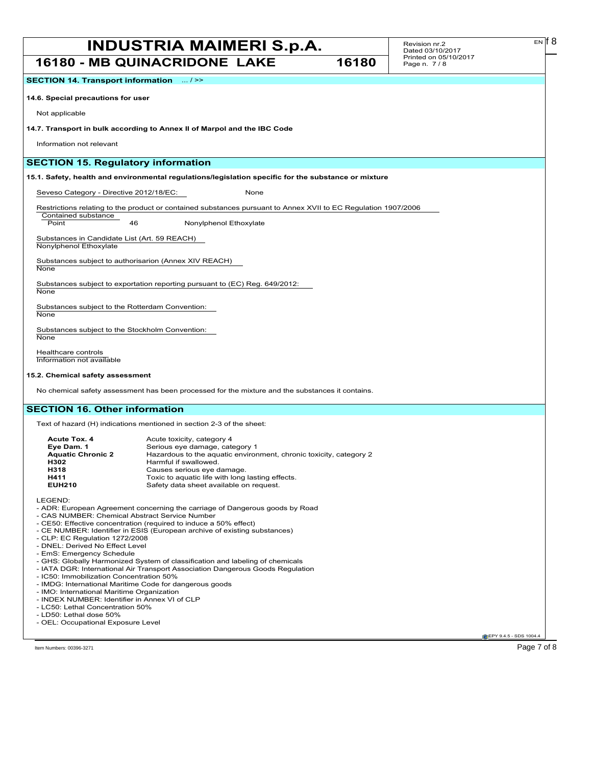Revision nr.2 Dated 03/10/2017 Printed on 05/10/2017 Page n. 7 / 8

**SECTION 14. Transport information** ... / >>

**14.6. Special precautions for user**

Not applicable

**14.7. Transport in bulk according to Annex II of Marpol and the IBC Code**

Information not relevant

Contained substance

#### **SECTION 15. Regulatory information**

**15.1. Safety, health and environmental regulations/legislation specific for the substance or mixture**

Seveso Category - Directive 2012/18/EC: None

Restrictions relating to the product or contained substances pursuant to Annex XVII to EC Regulation 1907/2006

Point 46 Nonylphenol Ethoxylate

Substances in Candidate List (Art. 59 REACH) Nonylphenol Ethoxylate

Substances subject to authorisarion (Annex XIV REACH)

**None** 

Substances subject to exportation reporting pursuant to (EC) Reg. 649/2012:

**None** 

Substances subject to the Rotterdam Convention: **None** 

Substances subject to the Stockholm Convention: **None** 

Healthcare controls Information not available

#### **15.2. Chemical safety assessment**

No chemical safety assessment has been processed for the mixture and the substances it contains.

#### **SECTION 16. Other information**

Text of hazard (H) indications mentioned in section 2-3 of the sheet:

| Acute Tox. 4             | Acute toxicity, category 4                                         |
|--------------------------|--------------------------------------------------------------------|
| Eve Dam. 1               | Serious eye damage, category 1                                     |
| <b>Aquatic Chronic 2</b> | Hazardous to the aquatic environment, chronic toxicity, category 2 |
| H302                     | Harmful if swallowed.                                              |
| H318                     | Causes serious eye damage.                                         |
| H411                     | Toxic to aquatic life with long lasting effects.                   |
| <b>EUH210</b>            | Safety data sheet available on request.                            |
|                          |                                                                    |

LEGEND:

- ADR: European Agreement concerning the carriage of Dangerous goods by Road

- CAS NUMBER: Chemical Abstract Service Number
- CE50: Effective concentration (required to induce a 50% effect)
- CE NUMBER: Identifier in ESIS (European archive of existing substances)
- CLP: EC Regulation 1272/2008
- DNEL: Derived No Effect Level
- EmS: Emergency Schedule
- GHS: Globally Harmonized System of classification and labeling of chemicals
- IATA DGR: International Air Transport Association Dangerous Goods Regulation
- IC50: Immobilization Concentration 50%
- IMDG: International Maritime Code for dangerous goods
- IMO: International Maritime Organization
- INDEX NUMBER: Identifier in Annex VI of CLP - LC50: Lethal Concentration 50%
- LD50: Lethal dose 50%
- OEL: Occupational Exposure Level

Item Numbers: 00396-3271 Page 7 of 8  $P$ 

**EPY 9.4.5 - SDS 1004** 

 $E<sub>N</sub>$  18